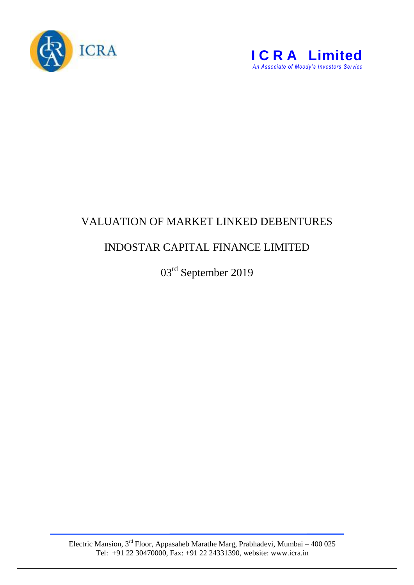



## VALUATION OF MARKET LINKED DEBENTURES

## INDOSTAR CAPITAL FINANCE LIMITED

03rd September 2019

Electric Mansion, 3<sup>rd</sup> Floor, Appasaheb Marathe Marg, Prabhadevi, Mumbai – 400 025 Tel: +91 22 30470000, Fax: +91 22 24331390, website: www.icra.in